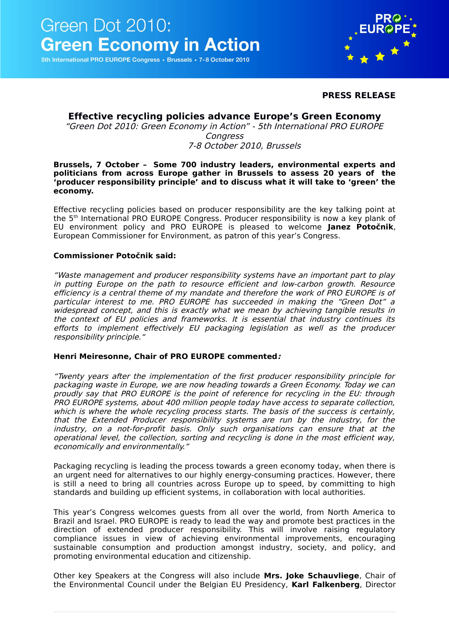5th International PRO EUROPE Congress · Brussels · 7-8 October 2010



#### **PRESS RELEASE**

## **Effective recycling policies advance Europe's Green Economy**

"Green Dot 2010: Green Economy in Action" - 5th International PRO EUROPE Congress 7-8 October 2010, Brussels

#### **Brussels, 7 October – Some 700 industry leaders, environmental experts and politicians from across Europe gather in Brussels to assess 20 years of the 'producer responsibility principle' and to discuss what it will take to 'green' the economy.**

Effective recycling policies based on producer responsibility are the key talking point at the 5th International PRO EUROPE Congress. Producer responsibility is now a key plank of EU environment policy and PRO EUROPE is pleased to welcome **Janez Potočnik**, European Commissioner for Environment, as patron of this year's Congress.

#### **Commissioner Potočnik said:**

"Waste management and producer responsibility systems have an important part to play in putting Europe on the path to resource efficient and low-carbon growth. Resource efficiency is a central theme of my mandate and therefore the work of PRO EUROPE is of particular interest to me. PRO EUROPE has succeeded in making the "Green Dot" a widespread concept, and this is exactly what we mean by achieving tangible results in the context of EU policies and frameworks. It is essential that industry continues its efforts to implement effectively EU packaging legislation as well as the producer responsibility principle."

#### **Henri Meiresonne, Chair of PRO EUROPE commented:**

"Twenty years after the implementation of the first producer responsibility principle for packaging waste in Europe, we are now heading towards a Green Economy. Today we can proudly say that PRO EUROPE is the point of reference for recycling in the EU: through PRO EUROPE systems, about 400 million people today have access to separate collection, which is where the whole recycling process starts. The basis of the success is certainly, that the Extended Producer responsibility systems are run by the industry, for the industry, on <sup>a</sup> not-for-profit basis. Only such organisations can ensure that at the operational level, the collection, sorting and recycling is done in the most efficient way, economically and environmentally."

Packaging recycling is leading the process towards a green economy today, when there is an urgent need for alternatives to our highly energy-consuming practices. However, there is still a need to bring all countries across Europe up to speed, by committing to high standards and building up efficient systems, in collaboration with local authorities.

This year's Congress welcomes guests from all over the world, from North America to Brazil and Israel. PRO EUROPE is ready to lead the way and promote best practices in the direction of extended producer responsibility. This will involve raising regulatory compliance issues in view of achieving environmental improvements, encouraging sustainable consumption and production amongst industry, society, and policy, and promoting environmental education and citizenship.

Other key Speakers at the Congress will also include **Mrs. Joke Schauvliege**, Chair of the Environmental Council under the Belgian EU Presidency, **Karl Falkenberg**, Director